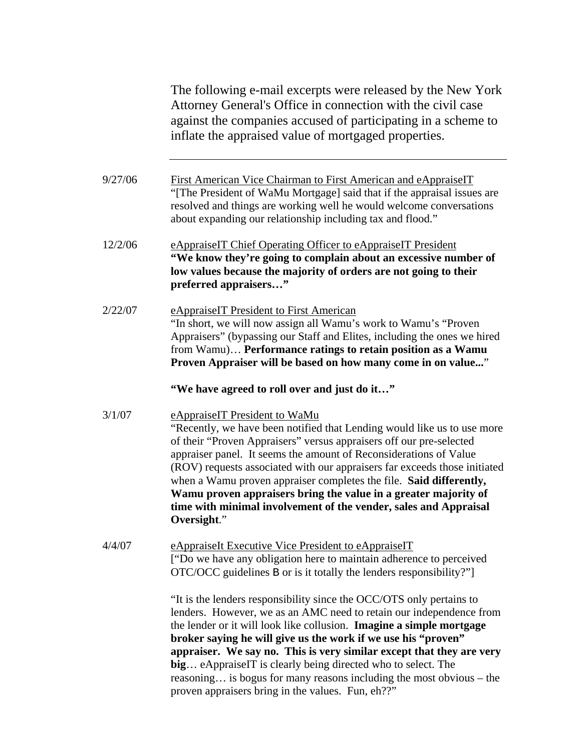The following e-mail excerpts were released by the New York Attorney General's Office in connection with the civil case against the companies accused of participating in a scheme to inflate the appraised value of mortgaged properties.

9/27/06 First American Vice Chairman to First American and eAppraiseIT "[The President of WaMu Mortgage] said that if the appraisal issues are resolved and things are working well he would welcome conversations about expanding our relationship including tax and flood."

12/2/06 eAppraiseIT Chief Operating Officer to eAppraiseIT President **"We know they're going to complain about an excessive number of low values because the majority of orders are not going to their preferred appraisers…"** 

2/22/07 eAppraiseIT President to First American "In short, we will now assign all Wamu's work to Wamu's "Proven Appraisers" (bypassing our Staff and Elites, including the ones we hired from Wamu)… **Performance ratings to retain position as a Wamu Proven Appraiser will be based on how many come in on value...**"

**"We have agreed to roll over and just do it…"** 

- 3/1/07 eAppraiseIT President to WaMu "Recently, we have been notified that Lending would like us to use more of their "Proven Appraisers" versus appraisers off our pre-selected appraiser panel. It seems the amount of Reconsiderations of Value (ROV) requests associated with our appraisers far exceeds those initiated when a Wamu proven appraiser completes the file. **Said differently, Wamu proven appraisers bring the value in a greater majority of time with minimal involvement of the vender, sales and Appraisal Oversight**."
- 4/4/07 eAppraiseIt Executive Vice President to eAppraiseIT ["Do we have any obligation here to maintain adherence to perceived OTC/OCC guidelines B or is it totally the lenders responsibility?"]

"It is the lenders responsibility since the OCC/OTS only pertains to lenders. However, we as an AMC need to retain our independence from the lender or it will look like collusion. **Imagine a simple mortgage broker saying he will give us the work if we use his "proven" appraiser. We say no. This is very similar except that they are very big**… eAppraiseIT is clearly being directed who to select. The reasoning… is bogus for many reasons including the most obvious – the proven appraisers bring in the values. Fun, eh??"